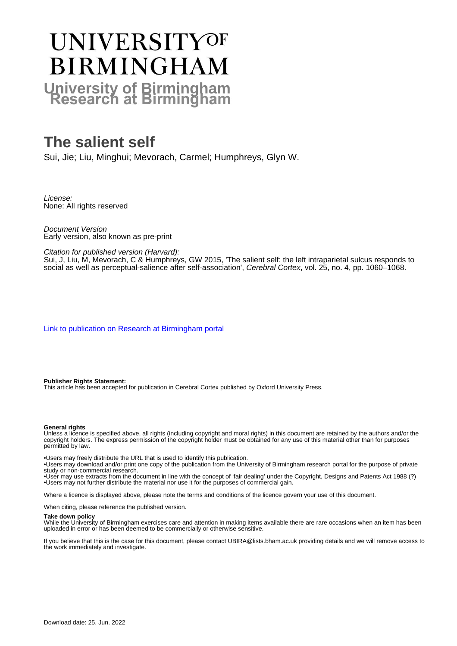# UNIVERSITYOF **BIRMINGHAM University of Birmingham**

# **The salient self**

Sui, Jie; Liu, Minghui; Mevorach, Carmel; Humphreys, Glyn W.

License: None: All rights reserved

Document Version Early version, also known as pre-print

## Citation for published version (Harvard):

Sui, J, Liu, M, Mevorach, C & Humphreys, GW 2015, 'The salient self: the left intraparietal sulcus responds to social as well as perceptual-salience after self-association', Cerebral Cortex, vol. 25, no. 4, pp. 1060–1068.

[Link to publication on Research at Birmingham portal](https://birmingham.elsevierpure.com/en/publications/cbce7dee-88eb-476f-bb6f-d406d03ff498)

#### **Publisher Rights Statement:**

This article has been accepted for publication in Cerebral Cortex published by Oxford University Press.

#### **General rights**

Unless a licence is specified above, all rights (including copyright and moral rights) in this document are retained by the authors and/or the copyright holders. The express permission of the copyright holder must be obtained for any use of this material other than for purposes permitted by law.

• Users may freely distribute the URL that is used to identify this publication.

• Users may download and/or print one copy of the publication from the University of Birmingham research portal for the purpose of private study or non-commercial research.

• User may use extracts from the document in line with the concept of 'fair dealing' under the Copyright, Designs and Patents Act 1988 (?) • Users may not further distribute the material nor use it for the purposes of commercial gain.

Where a licence is displayed above, please note the terms and conditions of the licence govern your use of this document.

When citing, please reference the published version.

#### **Take down policy**

While the University of Birmingham exercises care and attention in making items available there are rare occasions when an item has been uploaded in error or has been deemed to be commercially or otherwise sensitive.

If you believe that this is the case for this document, please contact UBIRA@lists.bham.ac.uk providing details and we will remove access to the work immediately and investigate.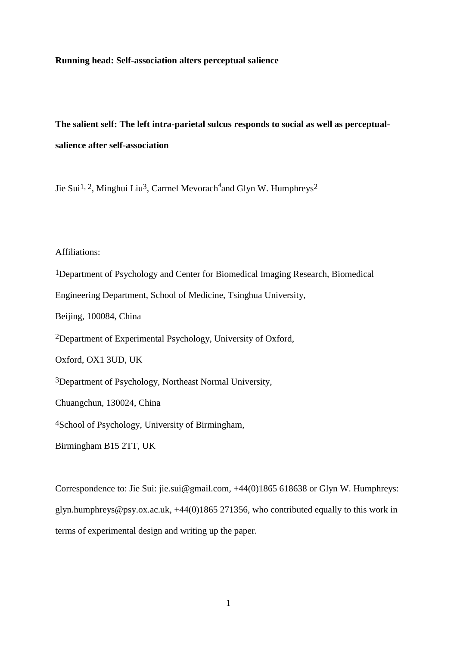#### **Running head: Self-association alters perceptual salience**

# **The salient self: The left intra-parietal sulcus responds to social as well as perceptualsalience after self-association**

Jie Sui<sup>1, 2</sup>, Minghui Liu<sup>3</sup>, Carmel Mevorach<sup>4</sup>and Glyn W. Humphreys<sup>2</sup>

## Affiliations:

1Department of Psychology and Center for Biomedical Imaging Research, Biomedical Engineering Department, School of Medicine, Tsinghua University, Beijing, 100084, China 2Department of Experimental Psychology, University of Oxford, Oxford, OX1 3UD, UK 3Department of Psychology, Northeast Normal University, Chuangchun, 130024, China 4School of Psychology, University of Birmingham, Birmingham B15 2TT, UK

Correspondence to: Jie Sui: jie.sui@gmail.com, +44(0)1865 618638 or Glyn W. Humphreys: glyn.humphreys@psy.ox.ac.uk, +44(0)1865 271356, who contributed equally to this work in terms of experimental design and writing up the paper.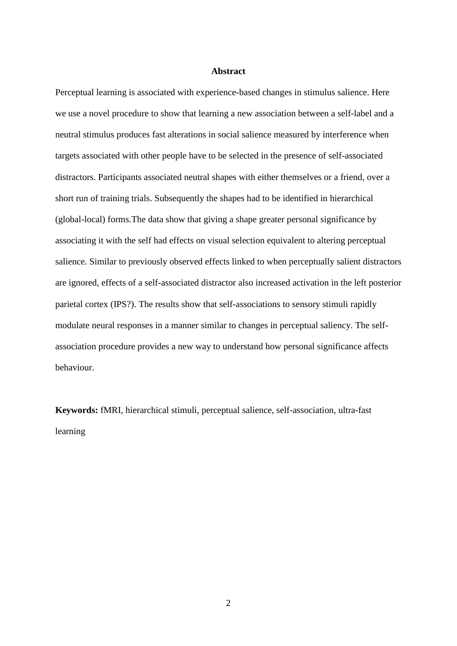## **Abstract**

Perceptual learning is associated with experience-based changes in stimulus salience. Here we use a novel procedure to show that learning a new association between a self-label and a neutral stimulus produces fast alterations in social salience measured by interference when targets associated with other people have to be selected in the presence of self-associated distractors. Participants associated neutral shapes with either themselves or a friend, over a short run of training trials. Subsequently the shapes had to be identified in hierarchical (global-local) forms.The data show that giving a shape greater personal significance by associating it with the self had effects on visual selection equivalent to altering perceptual salience. Similar to previously observed effects linked to when perceptually salient distractors are ignored, effects of a self-associated distractor also increased activation in the left posterior parietal cortex (IPS?). The results show that self-associations to sensory stimuli rapidly modulate neural responses in a manner similar to changes in perceptual saliency. The selfassociation procedure provides a new way to understand how personal significance affects behaviour.

**Keywords:** fMRI, hierarchical stimuli, perceptual salience, self-association, ultra-fast learning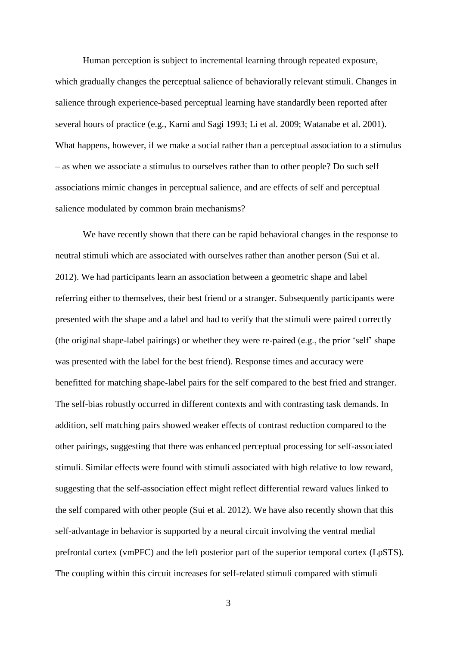Human perception is subject to incremental learning through repeated exposure, which gradually changes the perceptual salience of behaviorally relevant stimuli. Changes in salience through experience-based perceptual learning have standardly been reported after several hours of practice (e.g., Karni and Sagi 1993; Li et al. 2009; Watanabe et al. 2001). What happens, however, if we make a social rather than a perceptual association to a stimulus – as when we associate a stimulus to ourselves rather than to other people? Do such self associations mimic changes in perceptual salience, and are effects of self and perceptual salience modulated by common brain mechanisms?

We have recently shown that there can be rapid behavioral changes in the response to neutral stimuli which are associated with ourselves rather than another person (Sui et al. 2012). We had participants learn an association between a geometric shape and label referring either to themselves, their best friend or a stranger. Subsequently participants were presented with the shape and a label and had to verify that the stimuli were paired correctly (the original shape-label pairings) or whether they were re-paired (e.g., the prior 'self' shape was presented with the label for the best friend). Response times and accuracy were benefitted for matching shape-label pairs for the self compared to the best fried and stranger. The self-bias robustly occurred in different contexts and with contrasting task demands. In addition, self matching pairs showed weaker effects of contrast reduction compared to the other pairings, suggesting that there was enhanced perceptual processing for self-associated stimuli. Similar effects were found with stimuli associated with high relative to low reward, suggesting that the self-association effect might reflect differential reward values linked to the self compared with other people (Sui et al. 2012). We have also recently shown that this self-advantage in behavior is supported by a neural circuit involving the ventral medial prefrontal cortex (vmPFC) and the left posterior part of the superior temporal cortex (LpSTS). The coupling within this circuit increases for self-related stimuli compared with stimuli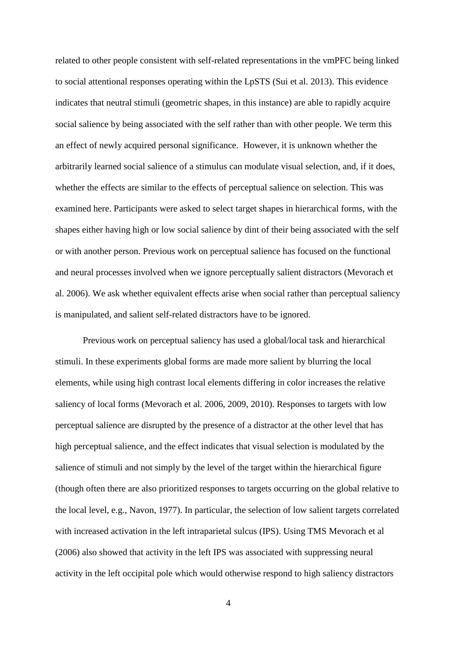related to other people consistent with self-related representations in the vmPFC being linked to social attentional responses operating within the LpSTS (Sui et al. 2013). This evidence indicates that neutral stimuli (geometric shapes, in this instance) are able to rapidly acquire social salience by being associated with the self rather than with other people. We term this an effect of newly acquired personal significance. However, it is unknown whether the arbitrarily learned social salience of a stimulus can modulate visual selection, and, if it does, whether the effects are similar to the effects of perceptual salience on selection. This was examined here. Participants were asked to select target shapes in hierarchical forms, with the shapes either having high or low social salience by dint of their being associated with the self or with another person. Previous work on perceptual salience has focused on the functional and neural processes involved when we ignore perceptually salient distractors (Mevorach et al. 2006). We ask whether equivalent effects arise when social rather than perceptual saliency is manipulated, and salient self-related distractors have to be ignored.

Previous work on perceptual saliency has used a global/local task and hierarchical stimuli. In these experiments global forms are made more salient by blurring the local elements, while using high contrast local elements differing in color increases the relative saliency of local forms (Mevorach et al. 2006, 2009, 2010). Responses to targets with low perceptual salience are disrupted by the presence of a distractor at the other level that has high perceptual salience, and the effect indicates that visual selection is modulated by the salience of stimuli and not simply by the level of the target within the hierarchical figure (though often there are also prioritized responses to targets occurring on the global relative to the local level, e.g., Navon, 1977). In particular, the selection of low salient targets correlated with increased activation in the left intraparietal sulcus (IPS). Using TMS Mevorach et al (2006) also showed that activity in the left IPS was associated with suppressing neural activity in the left occipital pole which would otherwise respond to high saliency distractors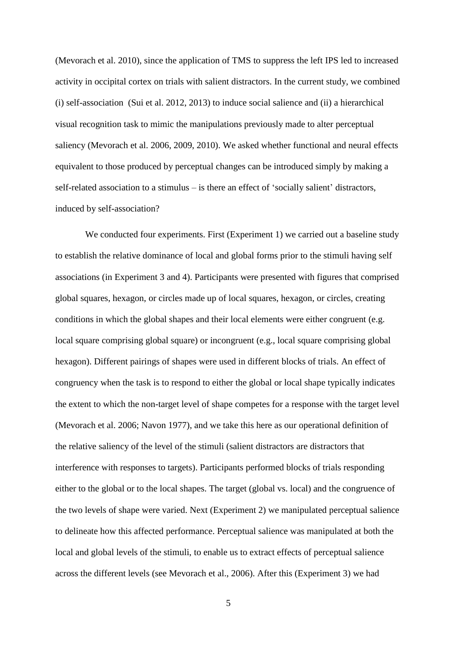(Mevorach et al. 2010), since the application of TMS to suppress the left IPS led to increased activity in occipital cortex on trials with salient distractors. In the current study, we combined (i) self-association (Sui et al. 2012, 2013) to induce social salience and (ii) a hierarchical visual recognition task to mimic the manipulations previously made to alter perceptual saliency (Mevorach et al. 2006, 2009, 2010). We asked whether functional and neural effects equivalent to those produced by perceptual changes can be introduced simply by making a self-related association to a stimulus – is there an effect of 'socially salient' distractors, induced by self-association?

We conducted four experiments. First (Experiment 1) we carried out a baseline study to establish the relative dominance of local and global forms prior to the stimuli having self associations (in Experiment 3 and 4). Participants were presented with figures that comprised global squares, hexagon, or circles made up of local squares, hexagon, or circles, creating conditions in which the global shapes and their local elements were either congruent (e.g. local square comprising global square) or incongruent (e.g., local square comprising global hexagon). Different pairings of shapes were used in different blocks of trials. An effect of congruency when the task is to respond to either the global or local shape typically indicates the extent to which the non-target level of shape competes for a response with the target level (Mevorach et al. 2006; Navon 1977), and we take this here as our operational definition of the relative saliency of the level of the stimuli (salient distractors are distractors that interference with responses to targets). Participants performed blocks of trials responding either to the global or to the local shapes. The target (global vs. local) and the congruence of the two levels of shape were varied. Next (Experiment 2) we manipulated perceptual salience to delineate how this affected performance. Perceptual salience was manipulated at both the local and global levels of the stimuli, to enable us to extract effects of perceptual salience across the different levels (see Mevorach et al., 2006). After this (Experiment 3) we had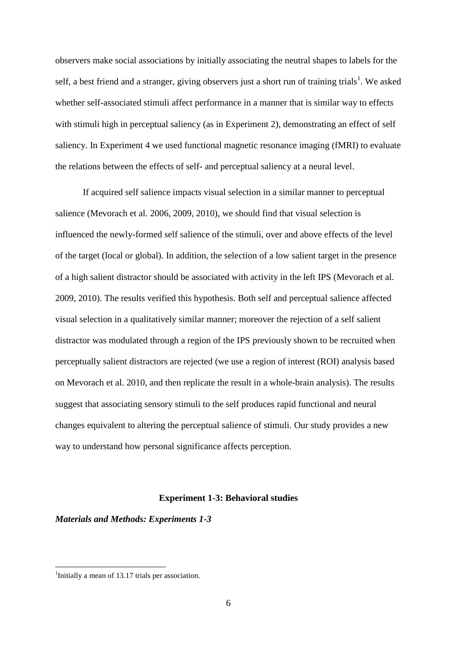observers make social associations by initially associating the neutral shapes to labels for the self, a best friend and a stranger, giving observers just a short run of training trials<sup>1</sup>. We asked whether self-associated stimuli affect performance in a manner that is similar way to effects with stimuli high in perceptual saliency (as in Experiment 2), demonstrating an effect of self saliency. In Experiment 4 we used functional magnetic resonance imaging (fMRI) to evaluate the relations between the effects of self- and perceptual saliency at a neural level.

If acquired self salience impacts visual selection in a similar manner to perceptual salience (Mevorach et al. 2006, 2009, 2010), we should find that visual selection is influenced the newly-formed self salience of the stimuli, over and above effects of the level of the target (local or global). In addition, the selection of a low salient target in the presence of a high salient distractor should be associated with activity in the left IPS (Mevorach et al. 2009, 2010). The results verified this hypothesis. Both self and perceptual salience affected visual selection in a qualitatively similar manner; moreover the rejection of a self salient distractor was modulated through a region of the IPS previously shown to be recruited when perceptually salient distractors are rejected (we use a region of interest (ROI) analysis based on Mevorach et al. 2010, and then replicate the result in a whole-brain analysis). The results suggest that associating sensory stimuli to the self produces rapid functional and neural changes equivalent to altering the perceptual salience of stimuli. Our study provides a new way to understand how personal significance affects perception.

#### **Experiment 1-3: Behavioral studies**

*Materials and Methods: Experiments 1-3*

<sup>&</sup>lt;sup>1</sup>Initially a mean of 13.17 trials per association.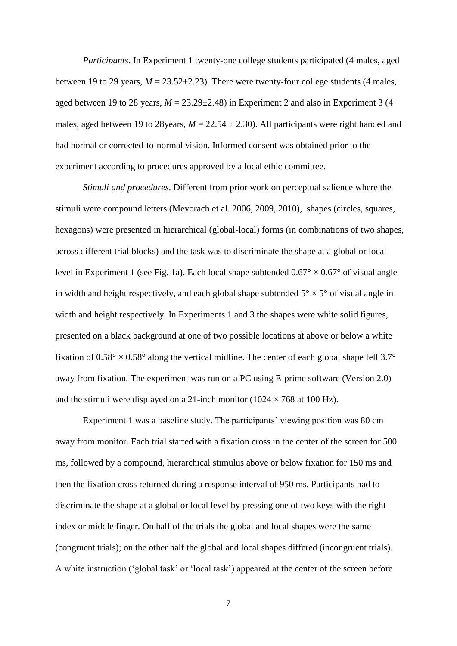*Participants*. In Experiment 1 twenty-one college students participated (4 males, aged between 19 to 29 years,  $M = 23.52 \pm 2.23$ ). There were twenty-four college students (4 males, aged between 19 to 28 years,  $M = 23.29 \pm 2.48$ ) in Experiment 2 and also in Experiment 3 (4 males, aged between 19 to 28 years,  $M = 22.54 \pm 2.30$ . All participants were right handed and had normal or corrected-to-normal vision. Informed consent was obtained prior to the experiment according to procedures approved by a local ethic committee.

*Stimuli and procedures*. Different from prior work on perceptual salience where the stimuli were compound letters (Mevorach et al. 2006, 2009, 2010), shapes (circles, squares, hexagons) were presented in hierarchical (global-local) forms (in combinations of two shapes, across different trial blocks) and the task was to discriminate the shape at a global or local level in Experiment 1 (see Fig. 1a). Each local shape subtended  $0.67^{\circ} \times 0.67^{\circ}$  of visual angle in width and height respectively, and each global shape subtended  $5^{\circ} \times 5^{\circ}$  of visual angle in width and height respectively. In Experiments 1 and 3 the shapes were white solid figures, presented on a black background at one of two possible locations at above or below a white fixation of  $0.58^{\circ} \times 0.58^{\circ}$  along the vertical midline. The center of each global shape fell 3.7° away from fixation. The experiment was run on a PC using E-prime software (Version 2.0) and the stimuli were displayed on a 21-inch monitor ( $1024 \times 768$  at 100 Hz).

Experiment 1 was a baseline study. The participants' viewing position was 80 cm away from monitor. Each trial started with a fixation cross in the center of the screen for 500 ms, followed by a compound, hierarchical stimulus above or below fixation for 150 ms and then the fixation cross returned during a response interval of 950 ms. Participants had to discriminate the shape at a global or local level by pressing one of two keys with the right index or middle finger. On half of the trials the global and local shapes were the same (congruent trials); on the other half the global and local shapes differed (incongruent trials). A white instruction ('global task' or 'local task') appeared at the center of the screen before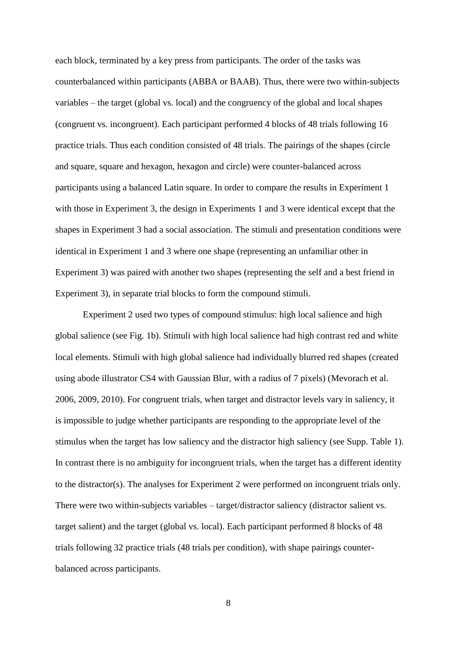each block, terminated by a key press from participants. The order of the tasks was counterbalanced within participants (ABBA or BAAB). Thus, there were two within-subjects variables – the target (global vs. local) and the congruency of the global and local shapes (congruent vs. incongruent). Each participant performed 4 blocks of 48 trials following 16 practice trials. Thus each condition consisted of 48 trials. The pairings of the shapes (circle and square, square and hexagon, hexagon and circle) were counter-balanced across participants using a balanced Latin square. In order to compare the results in Experiment 1 with those in Experiment 3, the design in Experiments 1 and 3 were identical except that the shapes in Experiment 3 had a social association. The stimuli and presentation conditions were identical in Experiment 1 and 3 where one shape (representing an unfamiliar other in Experiment 3) was paired with another two shapes (representing the self and a best friend in Experiment 3), in separate trial blocks to form the compound stimuli.

Experiment 2 used two types of compound stimulus: high local salience and high global salience (see Fig. 1b). Stimuli with high local salience had high contrast red and white local elements. Stimuli with high global salience had individually blurred red shapes (created using abode illustrator CS4 with Gaussian Blur, with a radius of 7 pixels) (Mevorach et al. 2006, 2009, 2010). For congruent trials, when target and distractor levels vary in saliency, it is impossible to judge whether participants are responding to the appropriate level of the stimulus when the target has low saliency and the distractor high saliency (see Supp. Table 1). In contrast there is no ambiguity for incongruent trials, when the target has a different identity to the distractor(s). The analyses for Experiment 2 were performed on incongruent trials only. There were two within-subjects variables – target/distractor saliency (distractor salient vs. target salient) and the target (global vs. local). Each participant performed 8 blocks of 48 trials following 32 practice trials (48 trials per condition), with shape pairings counterbalanced across participants.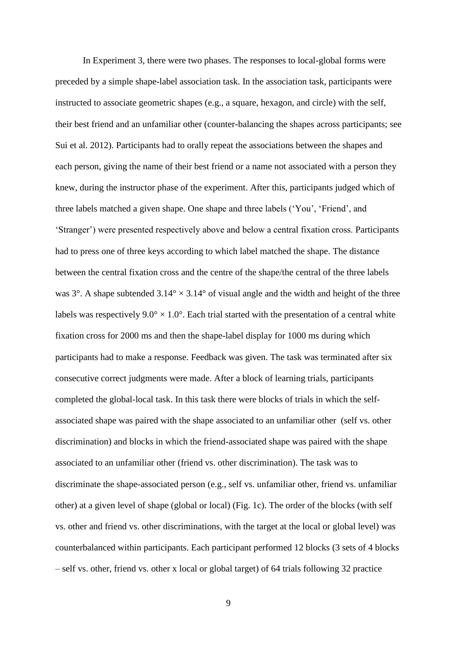In Experiment 3, there were two phases. The responses to local-global forms were preceded by a simple shape-label association task. In the association task, participants were instructed to associate geometric shapes (e.g., a square, hexagon, and circle) with the self, their best friend and an unfamiliar other (counter-balancing the shapes across participants; see Sui et al. 2012). Participants had to orally repeat the associations between the shapes and each person, giving the name of their best friend or a name not associated with a person they knew, during the instructor phase of the experiment. After this, participants judged which of three labels matched a given shape. One shape and three labels ('You', 'Friend', and 'Stranger') were presented respectively above and below a central fixation cross. Participants had to press one of three keys according to which label matched the shape. The distance between the central fixation cross and the centre of the shape/the central of the three labels was  $3^\circ$ . A shape subtended  $3.14^\circ \times 3.14^\circ$  of visual angle and the width and height of the three labels was respectively  $9.0^{\circ} \times 1.0^{\circ}$ . Each trial started with the presentation of a central white fixation cross for 2000 ms and then the shape-label display for 1000 ms during which participants had to make a response. Feedback was given. The task was terminated after six consecutive correct judgments were made. After a block of learning trials, participants completed the global-local task. In this task there were blocks of trials in which the selfassociated shape was paired with the shape associated to an unfamiliar other (self vs. other discrimination) and blocks in which the friend-associated shape was paired with the shape associated to an unfamiliar other (friend vs. other discrimination). The task was to discriminate the shape-associated person (e.g., self vs. unfamiliar other, friend vs. unfamiliar other) at a given level of shape (global or local) (Fig. 1c). The order of the blocks (with self vs. other and friend vs. other discriminations, with the target at the local or global level) was counterbalanced within participants. Each participant performed 12 blocks (3 sets of 4 blocks – self vs. other, friend vs. other x local or global target) of 64 trials following 32 practice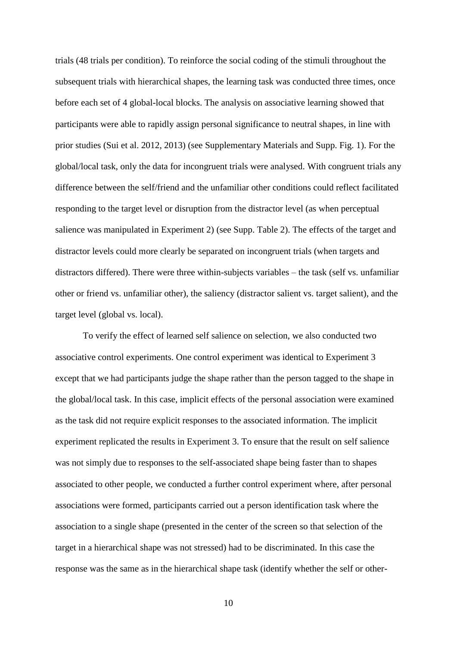trials (48 trials per condition). To reinforce the social coding of the stimuli throughout the subsequent trials with hierarchical shapes, the learning task was conducted three times, once before each set of 4 global-local blocks. The analysis on associative learning showed that participants were able to rapidly assign personal significance to neutral shapes, in line with prior studies (Sui et al. 2012, 2013) (see Supplementary Materials and Supp. Fig. 1). For the global/local task, only the data for incongruent trials were analysed. With congruent trials any difference between the self/friend and the unfamiliar other conditions could reflect facilitated responding to the target level or disruption from the distractor level (as when perceptual salience was manipulated in Experiment 2) (see Supp. Table 2). The effects of the target and distractor levels could more clearly be separated on incongruent trials (when targets and distractors differed). There were three within-subjects variables – the task (self vs. unfamiliar other or friend vs. unfamiliar other), the saliency (distractor salient vs. target salient), and the target level (global vs. local).

To verify the effect of learned self salience on selection, we also conducted two associative control experiments. One control experiment was identical to Experiment 3 except that we had participants judge the shape rather than the person tagged to the shape in the global/local task. In this case, implicit effects of the personal association were examined as the task did not require explicit responses to the associated information. The implicit experiment replicated the results in Experiment 3. To ensure that the result on self salience was not simply due to responses to the self-associated shape being faster than to shapes associated to other people, we conducted a further control experiment where, after personal associations were formed, participants carried out a person identification task where the association to a single shape (presented in the center of the screen so that selection of the target in a hierarchical shape was not stressed) had to be discriminated. In this case the response was the same as in the hierarchical shape task (identify whether the self or other-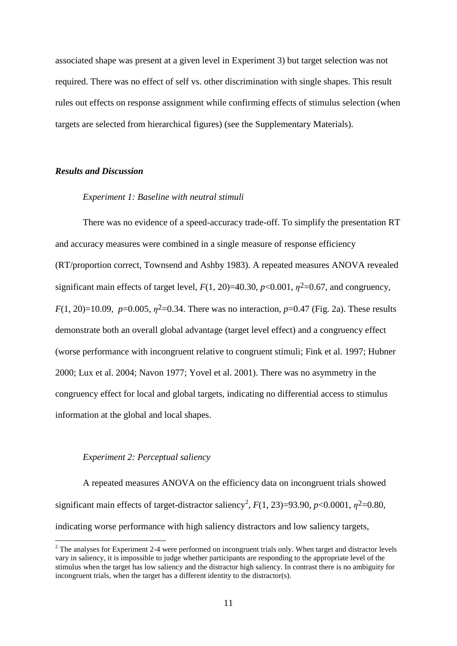associated shape was present at a given level in Experiment 3) but target selection was not required. There was no effect of self vs. other discrimination with single shapes. This result rules out effects on response assignment while confirming effects of stimulus selection (when targets are selected from hierarchical figures) (see the Supplementary Materials).

#### *Results and Discussion*

#### *Experiment 1: Baseline with neutral stimuli*

There was no evidence of a speed-accuracy trade-off. To simplify the presentation RT and accuracy measures were combined in a single measure of response efficiency (RT/proportion correct, Townsend and Ashby 1983). A repeated measures ANOVA revealed significant main effects of target level,  $F(1, 20) = 40.30$ ,  $p < 0.001$ ,  $\eta^2 = 0.67$ , and congruency, *F*(1, 20)=10.09, *p*=0.005,  $\eta^2$ =0.34. There was no interaction, *p*=0.47 (Fig. 2a). These results demonstrate both an overall global advantage (target level effect) and a congruency effect (worse performance with incongruent relative to congruent stimuli; Fink et al. 1997; Hubner 2000; Lux et al. 2004; Navon 1977; Yovel et al. 2001). There was no asymmetry in the congruency effect for local and global targets, indicating no differential access to stimulus information at the global and local shapes.

## *Experiment 2: Perceptual saliency*

<u>.</u>

A repeated measures ANOVA on the efficiency data on incongruent trials showed significant main effects of target-distractor saliency<sup>2</sup>,  $F(1, 23)=93.90$ ,  $p<0.0001$ ,  $\eta^2=0.80$ , indicating worse performance with high saliency distractors and low saliency targets,

<sup>&</sup>lt;sup>2</sup> The analyses for Experiment 2-4 were performed on incongruent trials only. When target and distractor levels vary in saliency, it is impossible to judge whether participants are responding to the appropriate level of the stimulus when the target has low saliency and the distractor high saliency. In contrast there is no ambiguity for incongruent trials, when the target has a different identity to the distractor(s).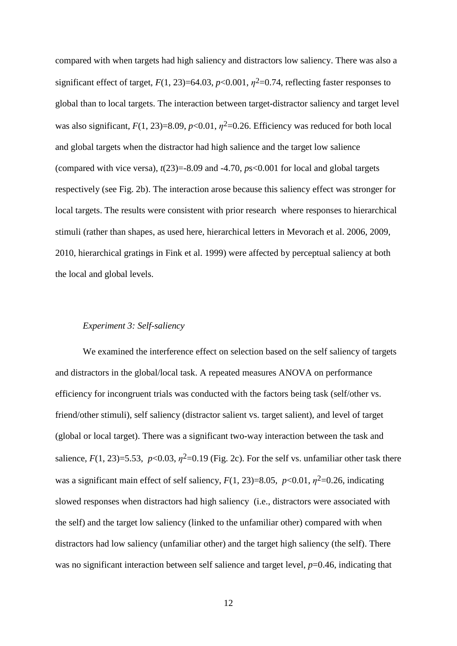compared with when targets had high saliency and distractors low saliency. There was also a significant effect of target,  $F(1, 23)=64.03$ ,  $p<0.001$ ,  $\eta^2=0.74$ , reflecting faster responses to global than to local targets. The interaction between target-distractor saliency and target level was also significant,  $F(1, 23)=8.09$ ,  $p<0.01$ ,  $p<sup>2</sup>=0.26$ . Efficiency was reduced for both local and global targets when the distractor had high salience and the target low salience (compared with vice versa),  $t(23)=8.09$  and  $-4.70$ ,  $ps<0.001$  for local and global targets respectively (see Fig. 2b). The interaction arose because this saliency effect was stronger for local targets. The results were consistent with prior research where responses to hierarchical stimuli (rather than shapes, as used here, hierarchical letters in Mevorach et al. 2006, 2009, 2010, hierarchical gratings in Fink et al. 1999) were affected by perceptual saliency at both the local and global levels.

#### *Experiment 3: Self-saliency*

We examined the interference effect on selection based on the self saliency of targets and distractors in the global/local task. A repeated measures ANOVA on performance efficiency for incongruent trials was conducted with the factors being task (self/other vs. friend/other stimuli), self saliency (distractor salient vs. target salient), and level of target (global or local target). There was a significant two-way interaction between the task and salience,  $F(1, 23)=5.53$ ,  $p<0.03$ ,  $p<sup>2</sup>=0.19$  (Fig. 2c). For the self vs. unfamiliar other task there was a significant main effect of self saliency,  $F(1, 23)=8.05$ ,  $p<0.01$ ,  $\eta^2=0.26$ , indicating slowed responses when distractors had high saliency (i.e., distractors were associated with the self) and the target low saliency (linked to the unfamiliar other) compared with when distractors had low saliency (unfamiliar other) and the target high saliency (the self). There was no significant interaction between self salience and target level, *p*=0.46, indicating that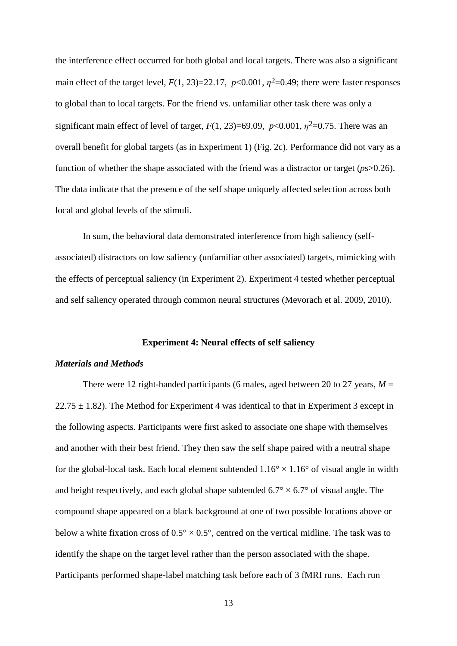the interference effect occurred for both global and local targets. There was also a significant main effect of the target level,  $F(1, 23)=22.17$ ,  $p<0.001$ ,  $p<sup>2</sup>=0.49$ ; there were faster responses to global than to local targets. For the friend vs. unfamiliar other task there was only a significant main effect of level of target,  $F(1, 23)=69.09$ ,  $p<0.001$ ,  $p<sup>2</sup>=0.75$ . There was an overall benefit for global targets (as in Experiment 1) (Fig. 2c). Performance did not vary as a function of whether the shape associated with the friend was a distractor or target (*p*s>0.26). The data indicate that the presence of the self shape uniquely affected selection across both local and global levels of the stimuli.

In sum, the behavioral data demonstrated interference from high saliency (selfassociated) distractors on low saliency (unfamiliar other associated) targets, mimicking with the effects of perceptual saliency (in Experiment 2). Experiment 4 tested whether perceptual and self saliency operated through common neural structures (Mevorach et al. 2009, 2010).

#### **Experiment 4: Neural effects of self saliency**

#### *Materials and Methods*

There were 12 right-handed participants (6 males, aged between 20 to 27 years,  $M =$  $22.75 \pm 1.82$ ). The Method for Experiment 4 was identical to that in Experiment 3 except in the following aspects. Participants were first asked to associate one shape with themselves and another with their best friend. They then saw the self shape paired with a neutral shape for the global-local task. Each local element subtended  $1.16^{\circ} \times 1.16^{\circ}$  of visual angle in width and height respectively, and each global shape subtended  $6.7^{\circ} \times 6.7^{\circ}$  of visual angle. The compound shape appeared on a black background at one of two possible locations above or below a white fixation cross of  $0.5^{\circ} \times 0.5^{\circ}$ , centred on the vertical midline. The task was to identify the shape on the target level rather than the person associated with the shape. Participants performed shape-label matching task before each of 3 fMRI runs. Each run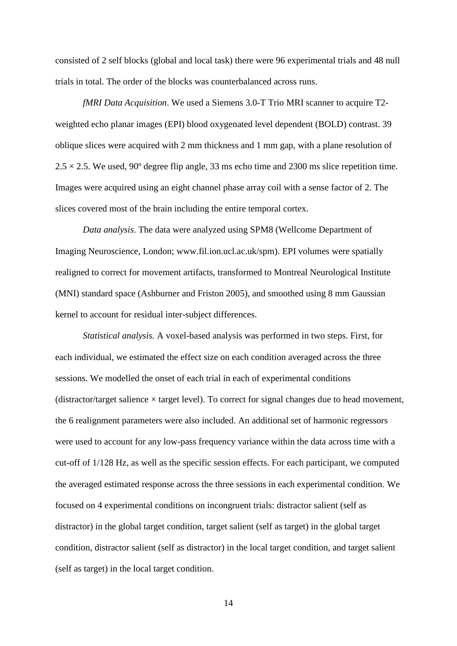consisted of 2 self blocks (global and local task) there were 96 experimental trials and 48 null trials in total. The order of the blocks was counterbalanced across runs.

*fMRI Data Acquisition*. We used a Siemens 3.0-T Trio MRI scanner to acquire T2 weighted echo planar images (EPI) blood oxygenated level dependent (BOLD) contrast. 39 oblique slices were acquired with 2 mm thickness and 1 mm gap, with a plane resolution of  $2.5 \times 2.5$ . We used, 90° degree flip angle, 33 ms echo time and 2300 ms slice repetition time. Images were acquired using an eight channel phase array coil with a sense factor of 2. The slices covered most of the brain including the entire temporal cortex.

*Data analysis*. The data were analyzed using SPM8 (Wellcome Department of Imaging Neuroscience, London; [www.fil.ion.ucl.ac.uk/spm\)](http://www.fil.ion.ucl.ac.uk/spm). EPI volumes were spatially realigned to correct for movement artifacts, transformed to Montreal Neurological Institute (MNI) standard space (Ashburner and Friston 2005), and smoothed using 8 mm Gaussian kernel to account for residual inter-subject differences.

*Statistical analysis.* A voxel-based analysis was performed in two steps. First, for each individual, we estimated the effect size on each condition averaged across the three sessions. We modelled the onset of each trial in each of experimental conditions (distractor/target salience  $\times$  target level). To correct for signal changes due to head movement, the 6 realignment parameters were also included. An additional set of harmonic regressors were used to account for any low-pass frequency variance within the data across time with a cut-off of 1/128 Hz, as well as the specific session effects. For each participant, we computed the averaged estimated response across the three sessions in each experimental condition. We focused on 4 experimental conditions on incongruent trials: distractor salient (self as distractor) in the global target condition, target salient (self as target) in the global target condition, distractor salient (self as distractor) in the local target condition, and target salient (self as target) in the local target condition.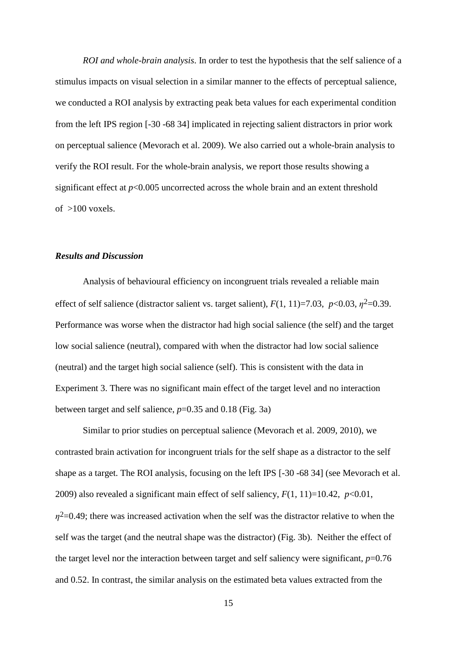*ROI and whole-brain analysis*. In order to test the hypothesis that the self salience of a stimulus impacts on visual selection in a similar manner to the effects of perceptual salience, we conducted a ROI analysis by extracting peak beta values for each experimental condition from the left IPS region [-30 -68 34] implicated in rejecting salient distractors in prior work on perceptual salience (Mevorach et al. 2009). We also carried out a whole-brain analysis to verify the ROI result. For the whole-brain analysis, we report those results showing a significant effect at *p*<0.005 uncorrected across the whole brain and an extent threshold of  $>100$  voxels.

#### *Results and Discussion*

Analysis of behavioural efficiency on incongruent trials revealed a reliable main effect of self salience (distractor salient vs. target salient),  $F(1, 11)=7.03$ ,  $p<0.03$ ,  $\eta^2=0.39$ . Performance was worse when the distractor had high social salience (the self) and the target low social salience (neutral), compared with when the distractor had low social salience (neutral) and the target high social salience (self). This is consistent with the data in Experiment 3. There was no significant main effect of the target level and no interaction between target and self salience, *p*=0.35 and 0.18 (Fig. 3a)

Similar to prior studies on perceptual salience (Mevorach et al. 2009, 2010), we contrasted brain activation for incongruent trials for the self shape as a distractor to the self shape as a target. The ROI analysis, focusing on the left IPS [-30 -68 34] (see Mevorach et al. 2009) also revealed a significant main effect of self saliency,  $F(1, 11)=10.42$ ,  $p<0.01$ ,  $\eta$ <sup>2</sup>=0.49; there was increased activation when the self was the distractor relative to when the self was the target (and the neutral shape was the distractor) (Fig. 3b). Neither the effect of the target level nor the interaction between target and self saliency were significant, *p*=0.76 and 0.52. In contrast, the similar analysis on the estimated beta values extracted from the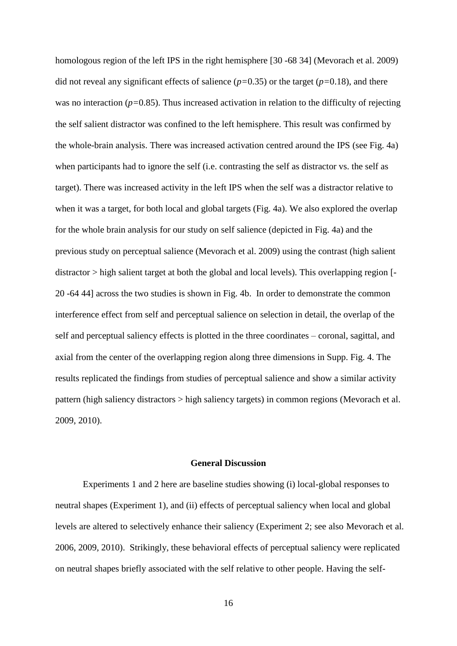homologous region of the left IPS in the right hemisphere [30 -68 34] (Mevorach et al. 2009) did not reveal any significant effects of salience (*p=*0.35) or the target (*p=*0.18), and there was no interaction ( $p=0.85$ ). Thus increased activation in relation to the difficulty of rejecting the self salient distractor was confined to the left hemisphere. This result was confirmed by the whole-brain analysis. There was increased activation centred around the IPS (see Fig. 4a) when participants had to ignore the self (i.e. contrasting the self as distractor vs. the self as target). There was increased activity in the left IPS when the self was a distractor relative to when it was a target, for both local and global targets (Fig. 4a). We also explored the overlap for the whole brain analysis for our study on self salience (depicted in Fig. 4a) and the previous study on perceptual salience (Mevorach et al. 2009) using the contrast (high salient distractor > high salient target at both the global and local levels). This overlapping region [- 20 -64 44] across the two studies is shown in Fig. 4b. In order to demonstrate the common interference effect from self and perceptual salience on selection in detail, the overlap of the self and perceptual saliency effects is plotted in the three coordinates – coronal, sagittal, and axial from the center of the overlapping region along three dimensions in Supp. Fig. 4. The results replicated the findings from studies of perceptual salience and show a similar activity pattern (high saliency distractors > high saliency targets) in common regions (Mevorach et al. 2009, 2010).

#### **General Discussion**

Experiments 1 and 2 here are baseline studies showing (i) local-global responses to neutral shapes (Experiment 1), and (ii) effects of perceptual saliency when local and global levels are altered to selectively enhance their saliency (Experiment 2; see also Mevorach et al. 2006, 2009, 2010). Strikingly, these behavioral effects of perceptual saliency were replicated on neutral shapes briefly associated with the self relative to other people. Having the self-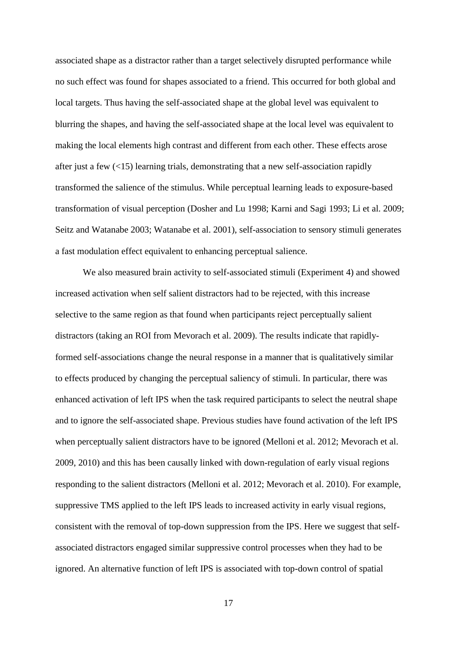associated shape as a distractor rather than a target selectively disrupted performance while no such effect was found for shapes associated to a friend. This occurred for both global and local targets. Thus having the self-associated shape at the global level was equivalent to blurring the shapes, and having the self-associated shape at the local level was equivalent to making the local elements high contrast and different from each other. These effects arose after just a few (<15) learning trials, demonstrating that a new self-association rapidly transformed the salience of the stimulus. While perceptual learning leads to exposure-based transformation of visual perception (Dosher and Lu 1998; Karni and Sagi 1993; Li et al. 2009; Seitz and Watanabe 2003; Watanabe et al. 2001), self-association to sensory stimuli generates a fast modulation effect equivalent to enhancing perceptual salience.

We also measured brain activity to self-associated stimuli (Experiment 4) and showed increased activation when self salient distractors had to be rejected, with this increase selective to the same region as that found when participants reject perceptually salient distractors (taking an ROI from Mevorach et al. 2009). The results indicate that rapidlyformed self-associations change the neural response in a manner that is qualitatively similar to effects produced by changing the perceptual saliency of stimuli. In particular, there was enhanced activation of left IPS when the task required participants to select the neutral shape and to ignore the self-associated shape. Previous studies have found activation of the left IPS when perceptually salient distractors have to be ignored (Melloni et al. 2012; Mevorach et al. 2009, 2010) and this has been causally linked with down-regulation of early visual regions responding to the salient distractors (Melloni et al. 2012; Mevorach et al. 2010). For example, suppressive TMS applied to the left IPS leads to increased activity in early visual regions, consistent with the removal of top-down suppression from the IPS. Here we suggest that selfassociated distractors engaged similar suppressive control processes when they had to be ignored. An alternative function of left IPS is associated with top-down control of spatial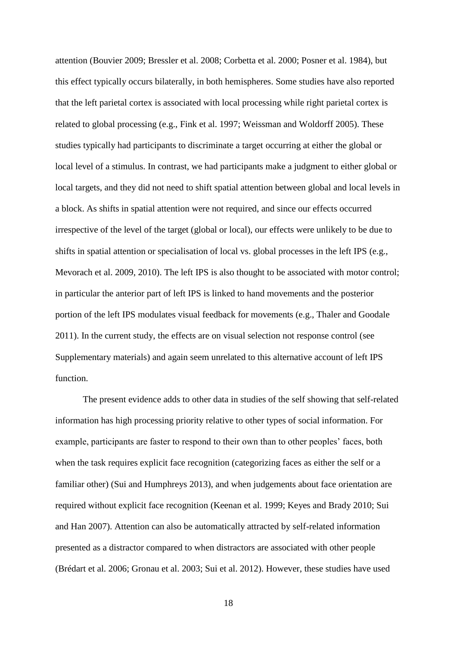attention (Bouvier 2009; Bressler et al. 2008; Corbetta et al. 2000; Posner et al. 1984), but this effect typically occurs bilaterally, in both hemispheres. Some studies have also reported that the left parietal cortex is associated with local processing while right parietal cortex is related to global processing (e.g., Fink et al. 1997; Weissman and Woldorff 2005). These studies typically had participants to discriminate a target occurring at either the global or local level of a stimulus. In contrast, we had participants make a judgment to either global or local targets, and they did not need to shift spatial attention between global and local levels in a block. As shifts in spatial attention were not required, and since our effects occurred irrespective of the level of the target (global or local), our effects were unlikely to be due to shifts in spatial attention or specialisation of local vs. global processes in the left IPS (e.g., Mevorach et al. 2009, 2010). The left IPS is also thought to be associated with motor control; in particular the anterior part of left IPS is linked to hand movements and the posterior portion of the left IPS modulates visual feedback for movements (e.g., Thaler and Goodale 2011). In the current study, the effects are on visual selection not response control (see Supplementary materials) and again seem unrelated to this alternative account of left IPS function.

The present evidence adds to other data in studies of the self showing that self-related information has high processing priority relative to other types of social information. For example, participants are faster to respond to their own than to other peoples' faces, both when the task requires explicit face recognition (categorizing faces as either the self or a familiar other) (Sui and Humphreys 2013), and when judgements about face orientation are required without explicit face recognition (Keenan et al. 1999; Keyes and Brady 2010; Sui and Han 2007). Attention can also be automatically attracted by self-related information presented as a distractor compared to when distractors are associated with other people (Brédart et al. 2006; Gronau et al. 2003; Sui et al. 2012). However, these studies have used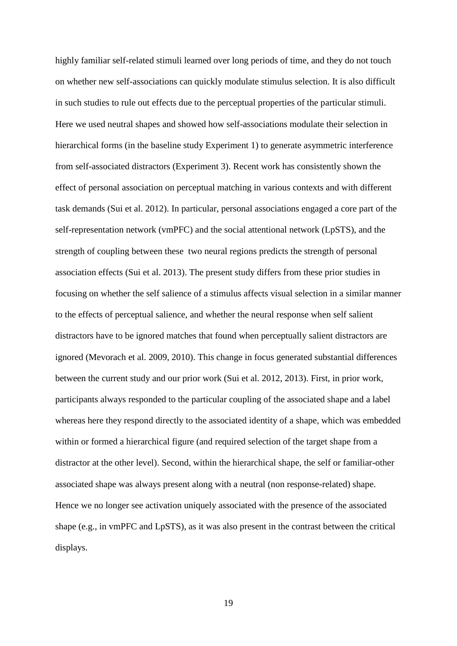highly familiar self-related stimuli learned over long periods of time, and they do not touch on whether new self-associations can quickly modulate stimulus selection. It is also difficult in such studies to rule out effects due to the perceptual properties of the particular stimuli. Here we used neutral shapes and showed how self-associations modulate their selection in hierarchical forms (in the baseline study Experiment 1) to generate asymmetric interference from self-associated distractors (Experiment 3). Recent work has consistently shown the effect of personal association on perceptual matching in various contexts and with different task demands (Sui et al. 2012). In particular, personal associations engaged a core part of the self-representation network (vmPFC) and the social attentional network (LpSTS), and the strength of coupling between these two neural regions predicts the strength of personal association effects (Sui et al. 2013). The present study differs from these prior studies in focusing on whether the self salience of a stimulus affects visual selection in a similar manner to the effects of perceptual salience, and whether the neural response when self salient distractors have to be ignored matches that found when perceptually salient distractors are ignored (Mevorach et al. 2009, 2010). This change in focus generated substantial differences between the current study and our prior work (Sui et al. 2012, 2013). First, in prior work, participants always responded to the particular coupling of the associated shape and a label whereas here they respond directly to the associated identity of a shape, which was embedded within or formed a hierarchical figure (and required selection of the target shape from a distractor at the other level). Second, within the hierarchical shape, the self or familiar-other associated shape was always present along with a neutral (non response-related) shape. Hence we no longer see activation uniquely associated with the presence of the associated shape (e.g., in vmPFC and LpSTS), as it was also present in the contrast between the critical displays.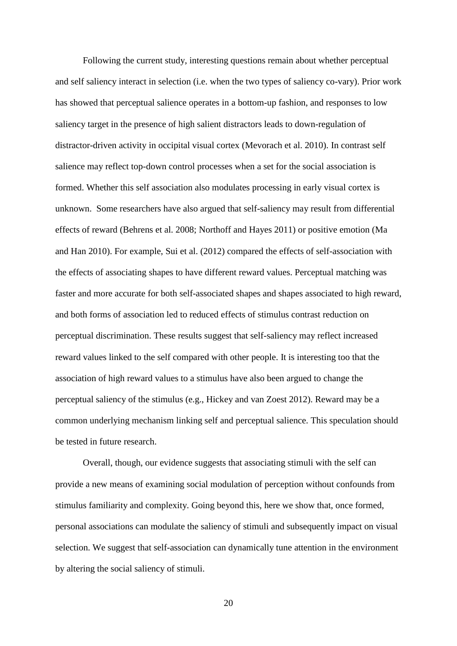Following the current study, interesting questions remain about whether perceptual and self saliency interact in selection (i.e. when the two types of saliency co-vary). Prior work has showed that perceptual salience operates in a bottom-up fashion, and responses to low saliency target in the presence of high salient distractors leads to down-regulation of distractor-driven activity in occipital visual cortex (Mevorach et al. 2010). In contrast self salience may reflect top-down control processes when a set for the social association is formed. Whether this self association also modulates processing in early visual cortex is unknown. Some researchers have also argued that self-saliency may result from differential effects of reward (Behrens et al. 2008; Northoff and Hayes 2011) or positive emotion (Ma and Han 2010). For example, Sui et al. (2012) compared the effects of self-association with the effects of associating shapes to have different reward values. Perceptual matching was faster and more accurate for both self-associated shapes and shapes associated to high reward, and both forms of association led to reduced effects of stimulus contrast reduction on perceptual discrimination. These results suggest that self-saliency may reflect increased reward values linked to the self compared with other people. It is interesting too that the association of high reward values to a stimulus have also been argued to change the perceptual saliency of the stimulus (e.g., Hickey and van Zoest 2012). Reward may be a common underlying mechanism linking self and perceptual salience. This speculation should be tested in future research.

Overall, though, our evidence suggests that associating stimuli with the self can provide a new means of examining social modulation of perception without confounds from stimulus familiarity and complexity. Going beyond this, here we show that, once formed, personal associations can modulate the saliency of stimuli and subsequently impact on visual selection. We suggest that self-association can dynamically tune attention in the environment by altering the social saliency of stimuli.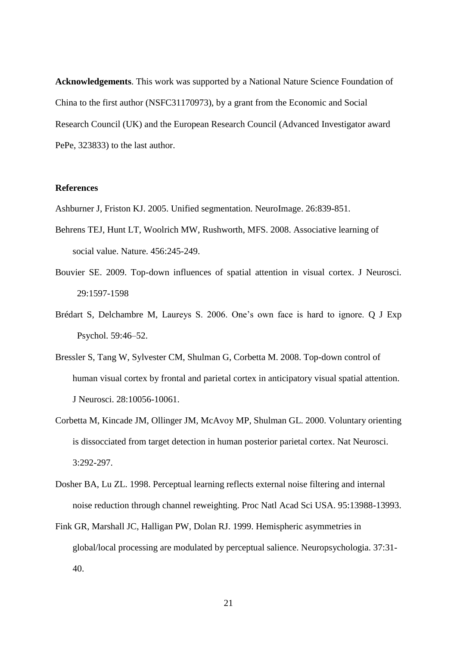**Acknowledgements**. This work was supported by a National Nature Science Foundation of China to the first author (NSFC31170973), by a grant from the Economic and Social Research Council (UK) and the European Research Council (Advanced Investigator award PePe, 323833) to the last author.

## **References**

Ashburner J, Friston KJ. 2005. Unified segmentation. NeuroImage. 26:839-851.

- Behrens TEJ, Hunt LT, Woolrich MW, Rushworth, MFS. 2008. Associative learning of social value. Nature. 456:245-249.
- Bouvier SE. 2009. Top-down influences of spatial attention in visual cortex. J Neurosci. 29:1597-1598
- Brédart S, Delchambre M, Laureys S. 2006. One's own face is hard to ignore. Q J Exp Psychol. 59:46–52.
- Bressler S, Tang W, Sylvester CM, Shulman G, Corbetta M. 2008. Top-down control of human visual cortex by frontal and parietal cortex in anticipatory visual spatial attention. J Neurosci. 28:10056-10061.
- Corbetta M, Kincade JM, Ollinger JM, McAvoy MP, Shulman GL. 2000. Voluntary orienting is dissocciated from target detection in human posterior parietal cortex. Nat Neurosci. 3:292-297.
- Dosher BA, Lu ZL. 1998. Perceptual learning reflects external noise filtering and internal noise reduction through channel reweighting. Proc Natl Acad Sci USA. 95:13988-13993.
- Fink GR, Marshall JC, Halligan PW, Dolan RJ. 1999. Hemispheric asymmetries in global/local processing are modulated by perceptual salience. Neuropsychologia. 37:31- 40.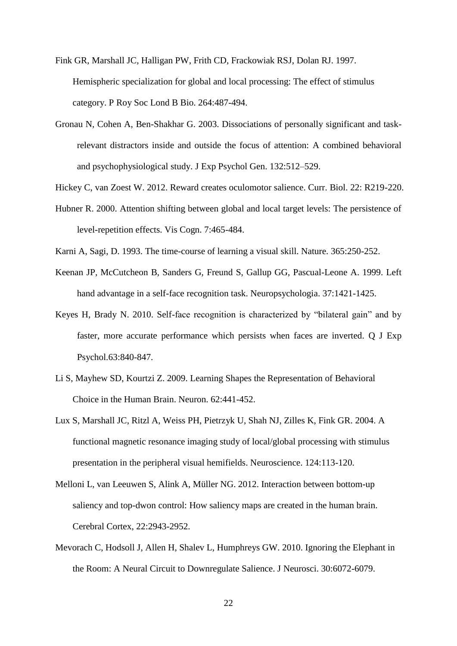- Fink GR, Marshall JC, Halligan PW, Frith CD, Frackowiak RSJ, Dolan RJ. 1997. Hemispheric specialization for global and local processing: The effect of stimulus category. P Roy Soc Lond B Bio. 264:487-494.
- Gronau N, Cohen A, Ben-Shakhar G. 2003. Dissociations of personally significant and taskrelevant distractors inside and outside the focus of attention: A combined behavioral and psychophysiological study. J Exp Psychol Gen. 132:512–529.
- Hickey C, van Zoest W. 2012. Reward creates oculomotor salience. Curr. Biol. 22: R219-220.
- Hubner R. 2000. Attention shifting between global and local target levels: The persistence of level-repetition effects. Vis Cogn. 7:465-484.
- Karni A, Sagi, D. 1993. The time-course of learning a visual skill. Nature. 365:250-252.
- Keenan JP, McCutcheon B, Sanders G, Freund S, Gallup GG, Pascual-Leone A. 1999. Left hand advantage in a self-face recognition task. Neuropsychologia. 37:1421-1425.
- Keyes H, Brady N. 2010. Self-face recognition is characterized by "bilateral gain" and by faster, more accurate performance which persists when faces are inverted. Q J Exp Psychol.63:840-847.
- Li S, Mayhew SD, Kourtzi Z. 2009. Learning Shapes the Representation of Behavioral Choice in the Human Brain. Neuron. 62:441-452.
- Lux S, Marshall JC, Ritzl A, Weiss PH, Pietrzyk U, Shah NJ, Zilles K, Fink GR. 2004. A functional magnetic resonance imaging study of local/global processing with stimulus presentation in the peripheral visual hemifields. Neuroscience. 124:113-120.
- Melloni L, van Leeuwen S, Alink A, Müller NG. 2012. Interaction between bottom-up saliency and top-dwon control: How saliency maps are created in the human brain. Cerebral Cortex, 22:2943-2952.
- Mevorach C, Hodsoll J, Allen H, Shalev L, Humphreys GW. 2010. Ignoring the Elephant in the Room: A Neural Circuit to Downregulate Salience. J Neurosci. 30:6072-6079.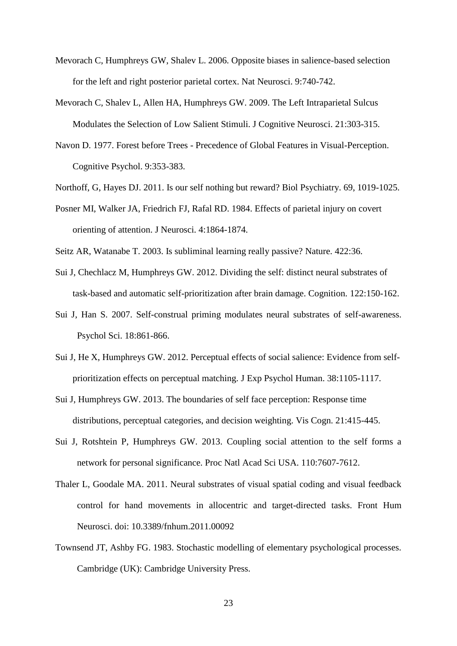- Mevorach C, Humphreys GW, Shalev L. 2006. Opposite biases in salience-based selection for the left and right posterior parietal cortex. Nat Neurosci. 9:740-742.
- Mevorach C, Shalev L, Allen HA, Humphreys GW. 2009. The Left Intraparietal Sulcus Modulates the Selection of Low Salient Stimuli. J Cognitive Neurosci. 21:303-315.
- Navon D. 1977. Forest before Trees Precedence of Global Features in Visual-Perception. Cognitive Psychol. 9:353-383.
- Northoff, G, Hayes DJ. 2011. Is our self nothing but reward? Biol Psychiatry. 69, 1019-1025.
- Posner MI, Walker JA, Friedrich FJ, Rafal RD. 1984. Effects of parietal injury on covert orienting of attention. J Neurosci. 4:1864-1874.
- Seitz AR, Watanabe T. 2003. Is subliminal learning really passive? Nature. 422:36.
- Sui J, Chechlacz M, Humphreys GW. 2012. Dividing the self: distinct neural substrates of task-based and automatic self-prioritization after brain damage. Cognition. 122:150-162.
- Sui J, Han S. 2007. Self-construal priming modulates neural substrates of self-awareness. Psychol Sci. 18:861-866.
- Sui J, He X, Humphreys GW. 2012. Perceptual effects of social salience: Evidence from selfprioritization effects on perceptual matching. J Exp Psychol Human. 38:1105-1117.
- Sui J, Humphreys GW. 2013. The boundaries of self face perception: Response time distributions, perceptual categories, and decision weighting. Vis Cogn. 21:415-445.
- Sui J, Rotshtein P, Humphreys GW. 2013. Coupling social attention to the self forms a network for personal significance. Proc Natl Acad Sci USA. 110:7607-7612.
- Thaler L, Goodale MA. 2011. Neural substrates of visual spatial coding and visual feedback control for hand movements in allocentric and target-directed tasks. Front Hum Neurosci. doi: 10.3389/fnhum.2011.00092
- Townsend JT, Ashby FG. 1983. Stochastic modelling of elementary psychological processes. Cambridge (UK): Cambridge University Press.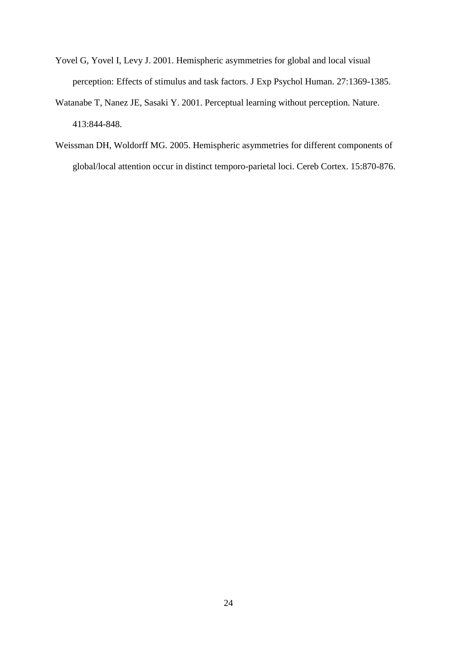- Yovel G, Yovel I, Levy J. 2001. Hemispheric asymmetries for global and local visual perception: Effects of stimulus and task factors. J Exp Psychol Human. 27:1369-1385.
- Watanabe T, Nanez JE, Sasaki Y. 2001. Perceptual learning without perception. Nature. 413:844-848.
- Weissman DH, Woldorff MG. 2005. Hemispheric asymmetries for different components of global/local attention occur in distinct temporo-parietal loci. Cereb Cortex. 15:870-876.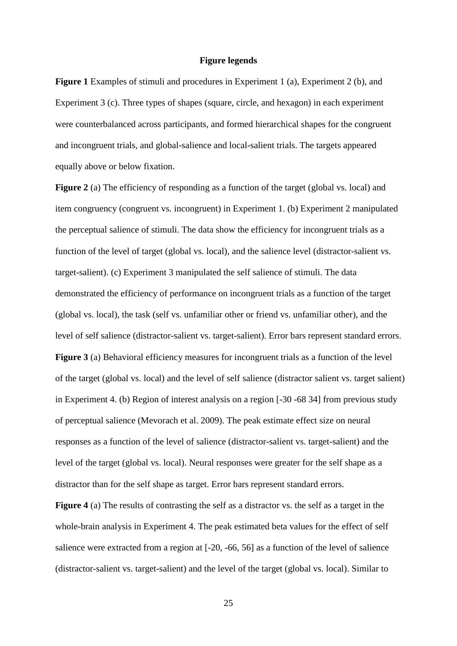#### **Figure legends**

**Figure 1** Examples of stimuli and procedures in Experiment 1 (a), Experiment 2 (b), and Experiment 3 (c). Three types of shapes (square, circle, and hexagon) in each experiment were counterbalanced across participants, and formed hierarchical shapes for the congruent and incongruent trials, and global-salience and local-salient trials. The targets appeared equally above or below fixation.

**Figure 2** (a) The efficiency of responding as a function of the target (global vs. local) and item congruency (congruent vs. incongruent) in Experiment 1. (b) Experiment 2 manipulated the perceptual salience of stimuli. The data show the efficiency for incongruent trials as a function of the level of target (global vs. local), and the salience level (distractor-salient vs. target-salient). (c) Experiment 3 manipulated the self salience of stimuli. The data demonstrated the efficiency of performance on incongruent trials as a function of the target (global vs. local), the task (self vs. unfamiliar other or friend vs. unfamiliar other), and the level of self salience (distractor-salient vs. target-salient). Error bars represent standard errors. **Figure 3** (a) Behavioral efficiency measures for incongruent trials as a function of the level of the target (global vs. local) and the level of self salience (distractor salient vs. target salient) in Experiment 4. (b) Region of interest analysis on a region [-30 -68 34] from previous study of perceptual salience (Mevorach et al. 2009). The peak estimate effect size on neural responses as a function of the level of salience (distractor-salient vs. target-salient) and the level of the target (global vs. local). Neural responses were greater for the self shape as a distractor than for the self shape as target. Error bars represent standard errors.

**Figure 4** (a) The results of contrasting the self as a distractor vs. the self as a target in the whole-brain analysis in Experiment 4. The peak estimated beta values for the effect of self salience were extracted from a region at [-20, -66, 56] as a function of the level of salience (distractor-salient vs. target-salient) and the level of the target (global vs. local). Similar to